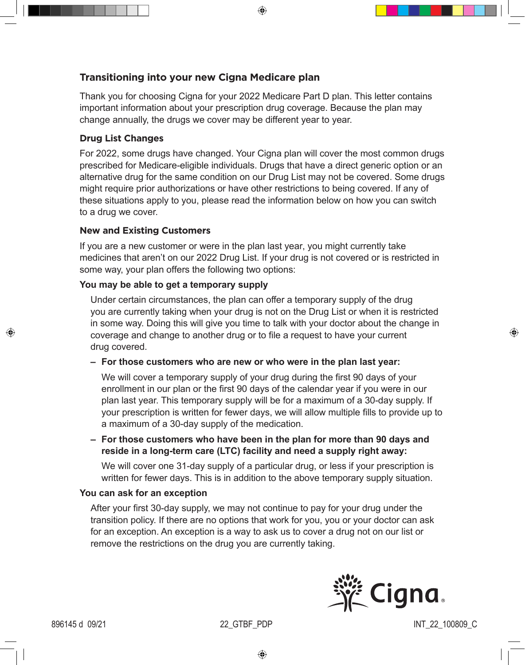⊕

# **Transitioning into your new Cigna Medicare plan**

Thank you for choosing Cigna for your 2022 Medicare Part D plan. This letter contains important information about your prescription drug coverage. Because the plan may change annually, the drugs we cover may be different year to year.

# **Drug List Changes**

For 2022, some drugs have changed. Your Cigna plan will cover the most common drugs prescribed for Medicare-eligible individuals. Drugs that have a direct generic option or an alternative drug for the same condition on our Drug List may not be covered. Some drugs might require prior authorizations or have other restrictions to being covered. If any of these situations apply to you, please read the information below on how you can switch to a drug we cover.

## **New and Existing Customers**

If you are a new customer or were in the plan last year, you might currently take medicines that aren't on our 2022 Drug List. If your drug is not covered or is restricted in some way, your plan offers the following two options:

# **You may be able to get a temporary supply**

Under certain circumstances, the plan can offer a temporary supply of the drug you are currently taking when your drug is not on the Drug List or when it is restricted in some way. Doing this will give you time to talk with your doctor about the change in coverage and change to another drug or to file a request to have your current drug covered.

**– For those customers who are new or who were in the plan last year:** 

We will cover a temporary supply of your drug during the first 90 days of your enrollment in our plan or the first 90 days of the calendar year if you were in our plan last year. This temporary supply will be for a maximum of a 30-day supply. If your prescription is written for fewer days, we will allow multiple fills to provide up to a maximum of a 30-day supply of the medication.

**– For those customers who have been in the plan for more than 90 days and reside in a long-term care (LTC) facility and need a supply right away:** 

We will cover one 31-day supply of a particular drug, or less if your prescription is written for fewer days. This is in addition to the above temporary supply situation.

### **You can ask for an exception**

After your first 30-day supply, we may not continue to pay for your drug under the transition policy. If there are no options that work for you, you or your doctor can ask for an exception. An exception is a way to ask us to cover a drug not on our list or remove the restrictions on the drug you are currently taking.



♠

⊕

896145 d 09/21 22 GTBF PDP INT 22 100809 C

⊕